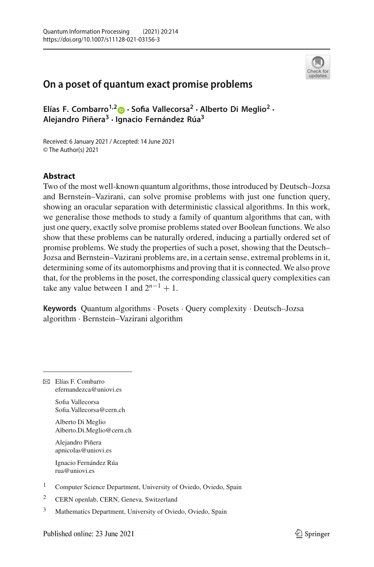

# **On a poset of quantum exact promise problems**

**Elías F. Combarro1,2 · Sofia Vallecorsa2 · Alberto Di Meglio2 · Alejandro Piñera3 · Ignacio Fernández Rúa3**

Received: 6 January 2021 / Accepted: 14 June 2021 © The Author(s) 2021

## **Abstract**

Two of the most well-known quantum algorithms, those introduced by Deutsch–Jozsa and Bernstein–Vazirani, can solve promise problems with just one function query, showing an oracular separation with deterministic classical algorithms. In this work, we generalise those methods to study a family of quantum algorithms that can, with just one query, exactly solve promise problems stated over Boolean functions. We also show that these problems can be naturally ordered, inducing a partially ordered set of promise problems. We study the properties of such a poset, showing that the Deutsch– Jozsa and Bernstein–Vazirani problems are, in a certain sense, extremal problems in it, determining some of its automorphisms and proving that it is connected. We also prove that, for the problems in the poset, the corresponding classical query complexities can take any value between 1 and  $2^{n-1} + 1$ .

**Keywords** Quantum algorithms · Posets · Query complexity · Deutsch–Jozsa algorithm · Bernstein–Vazirani algorithm

B Elías F. Combarro efernandezca@uniovi.es

> Sofia Vallecorsa Sofia.Vallecorsa@cern.ch

Alberto Di Meglio Alberto.Di.Meglio@cern.ch

Alejandro Piñera apnicolas@uniovi.es

Ignacio Fernández Rúa rua@uniovi.es

<sup>2</sup> CERN openlab, CERN, Geneva, Switzerland

<sup>3</sup> Mathematics Department, University of Oviedo, Oviedo, Spain

<sup>&</sup>lt;sup>1</sup> Computer Science Department, University of Oviedo, Oviedo, Spain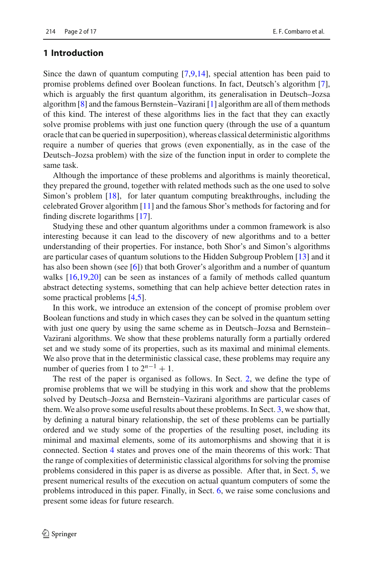# **1 Introduction**

Since the dawn of quantum computing [\[7](#page-15-0)[,9](#page-15-1)[,14\]](#page-16-0), special attention has been paid to promise problems defined over Boolean functions. In fact, Deutsch's algorithm [\[7](#page-15-0)], which is arguably the first quantum algorithm, its generalisation in Deutsch–Jozsa algorithm [\[8](#page-15-2)] and the famous Bernstein–Vazirani [\[1\]](#page-15-3) algorithm are all of them methods of this kind. The interest of these algorithms lies in the fact that they can exactly solve promise problems with just one function query (through the use of a quantum oracle that can be queried in superposition), whereas classical deterministic algorithms require a number of queries that grows (even exponentially, as in the case of the Deutsch–Jozsa problem) with the size of the function input in order to complete the same task.

Although the importance of these problems and algorithms is mainly theoretical, they prepared the ground, together with related methods such as the one used to solve Simon's problem [\[18](#page-16-1)], for later quantum computing breakthroughs, including the celebrated Grover algorithm [\[11\]](#page-15-4) and the famous Shor's methods for factoring and for finding discrete logarithms [\[17](#page-16-2)].

Studying these and other quantum algorithms under a common framework is also interesting because it can lead to the discovery of new algorithms and to a better understanding of their properties. For instance, both Shor's and Simon's algorithms are particular cases of quantum solutions to the Hidden Subgroup Problem [\[13](#page-16-3)] and it has also been shown (see [\[6](#page-15-5)]) that both Grover's algorithm and a number of quantum walks [\[16](#page-16-4)[,19](#page-16-5)[,20\]](#page-16-6) can be seen as instances of a family of methods called quantum abstract detecting systems, something that can help achieve better detection rates in some practical problems [\[4](#page-15-6)[,5](#page-15-7)].

In this work, we introduce an extension of the concept of promise problem over Boolean functions and study in which cases they can be solved in the quantum setting with just one query by using the same scheme as in Deutsch–Jozsa and Bernstein– Vazirani algorithms. We show that these problems naturally form a partially ordered set and we study some of its properties, such as its maximal and minimal elements. We also prove that in the deterministic classical case, these problems may require any number of queries from 1 to  $2^{n-1} + 1$ .

The rest of the paper is organised as follows. In Sect. [2,](#page-2-0) we define the type of promise problems that we will be studying in this work and show that the problems solved by Deutsch–Jozsa and Bernstein–Vazirani algorithms are particular cases of them. We also prove some useful results about these problems. In Sect. [3,](#page-8-0) we show that, by defining a natural binary relationship, the set of these problems can be partially ordered and we study some of the properties of the resulting poset, including its minimal and maximal elements, some of its automorphisms and showing that it is connected. Section [4](#page-12-0) states and proves one of the main theorems of this work: That the range of complexities of deterministic classical algorithms for solving the promise problems considered in this paper is as diverse as possible. After that, in Sect. [5,](#page-13-0) we present numerical results of the execution on actual quantum computers of some the problems introduced in this paper. Finally, in Sect. [6,](#page-14-0) we raise some conclusions and present some ideas for future research.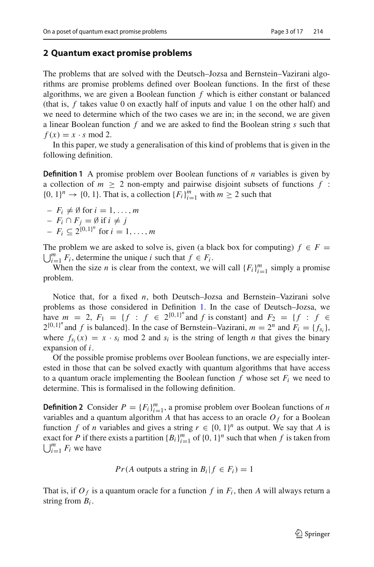### <span id="page-2-0"></span>**2 Quantum exact promise problems**

The problems that are solved with the Deutsch–Jozsa and Bernstein–Vazirani algorithms are promise problems defined over Boolean functions. In the first of these algorithms, we are given a Boolean function *f* which is either constant or balanced (that is, *f* takes value 0 on exactly half of inputs and value 1 on the other half) and we need to determine which of the two cases we are in; in the second, we are given a linear Boolean function *f* and we are asked to find the Boolean string *s* such that  $f(x) = x \cdot s \mod 2$ .

<span id="page-2-1"></span>In this paper, we study a generalisation of this kind of problems that is given in the following definition.

**Definition 1** A promise problem over Boolean functions of *n* variables is given by a collection of  $m \geq 2$  non-empty and pairwise disjoint subsets of functions  $f$ :  $\{0, 1\}^n \rightarrow \{0, 1\}$ . That is, a collection  $\{F_i\}_{i=1}^m$  with  $m \ge 2$  such that

- $-F_i \neq \emptyset$  for  $i = 1, \ldots, m$
- $-$  *F<sub>i</sub>* ∩ *F<sub>j</sub>* = Ø if *i* ≠ *j*
- $-F_i \subseteq 2^{\{0,1\}^n}$  for  $i = 1, ..., m$

The problem we are asked to solve is, given (a black box for computing)  $f \in F =$ <br>*F*  $\frac{m}{F}$  *F* determine the unique *i* such that  $f \in F$ .  $\bigcup_{i=1}^{m} F_i$ , determine the unique *i* such that  $f \in F_i$ .

When the size *n* is clear from the context, we will call  ${F_i}_{i=1}^m$  simply a promise problem.

Notice that, for a fixed *n*, both Deutsch–Jozsa and Bernstein–Vazirani solve problems as those considered in Definition [1.](#page-2-1) In the case of Deutsch–Jozsa, we have  $m = 2$ ,  $F_1 = \{f : f \in 2^{\{0,1\}^n} \text{ and } f \text{ is constant} \}$  and  $F_2 = \{f : f \in 2^{\{0,1\}^n} \}$  $2^{\{0,1\}^n}$  and *f* is balanced}. In the case of Bernstein–Vazirani,  $m = 2^n$  and  $F_i = \{f_{s_i}\}\,$ where  $f_{s_i}(x) = x \cdot s_i \mod 2$  and  $s_i$  is the string of length *n* that gives the binary expansion of *i*.

Of the possible promise problems over Boolean functions, we are especially interested in those that can be solved exactly with quantum algorithms that have access to a quantum oracle implementing the Boolean function  $f$  whose set  $F_i$  we need to determine. This is formalised in the following definition.

<span id="page-2-2"></span>**Definition 2** Consider  $P = \{F_i\}_{i=1}^m$ , a promise problem over Boolean functions of *n* variables and a quantum algorithm  $A$  that has access to an oracle  $O_f$  for a Boolean function *f* of *n* variables and gives a string  $r \in \{0, 1\}^n$  as output. We say that *A* is exact for *P* if there exists a partition  ${B_i}_{i=1}^m$  of  ${0, 1}^n$  such that when *f* is taken from  $\bigcup_{i=1}^{m} F_i$  we have

*Pr*(*A* outputs a string in  $B_i | f \in F_i$ ) = 1

That is, if  $O_f$  is a quantum oracle for a function f in  $F_i$ , then A will always return a string from *Bi* .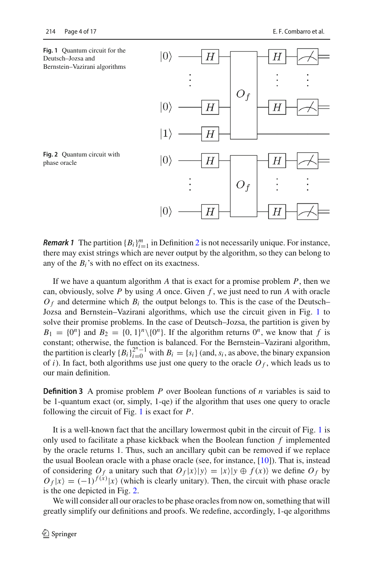<span id="page-3-0"></span>

<span id="page-3-1"></span>**Remark 1** The partition  ${B_i}_{i=1}^m$  in Definition [2](#page-2-2) is not necessarily unique. For instance, there may exist strings which are never output by the algorithm, so they can belong to any of the  $B_i$ 's with no effect on its exactness.

If we have a quantum algorithm *A* that is exact for a promise problem *P*, then we can, obviously, solve *P* by using *A* once. Given *f* , we just need to run *A* with oracle  $O_f$  and determine which  $B_i$  the output belongs to. This is the case of the Deutsch– Jozsa and Bernstein–Vazirani algorithms, which use the circuit given in Fig. [1](#page-3-0) to solve their promise problems. In the case of Deutsch–Jozsa, the partition is given by  $B_1 = \{0^n\}$  and  $B_2 = \{0, 1\}^n \setminus \{0^n\}$ . If the algorithm returns  $0^n$ , we know that *f* is constant; otherwise, the function is balanced. For the Bernstein–Vazirani algorithm, the partition is clearly  ${B_i}_{i=0}^{2^n-1}$  with  $B_i = {s_i}$  (and,  $s_i$ , as above, the binary expansion of *i*). In fact, both algorithms use just one query to the oracle  $O_f$ , which leads us to our main definition.

**Definition 3** A promise problem *P* over Boolean functions of *n* variables is said to be 1-quantum exact (or, simply, 1-qe) if the algorithm that uses one query to oracle following the circuit of Fig. [1](#page-3-0) is exact for *P*.

It is a well-known fact that the ancillary lowermost qubit in the circuit of Fig. [1](#page-3-0) is only used to facilitate a phase kickback when the Boolean function *f* implemented by the oracle returns 1. Thus, such an ancillary qubit can be removed if we replace the usual Boolean oracle with a phase oracle (see, for instance, [\[10](#page-15-8)]). That is, instead of considering  $O_f$  a unitary such that  $O_f|x\rangle|y\rangle = |x\rangle|y \oplus f(x)\rangle$  we define  $O_f$  by  $O_f|x\rangle = (-1)^{f(x)}|x\rangle$  (which is clearly unitary). Then, the circuit with phase oracle is the one depicted in Fig. [2.](#page-3-1)

We will consider all our oracles to be phase oracles from now on, something that will greatly simplify our definitions and proofs. We redefine, accordingly, 1-qe algorithms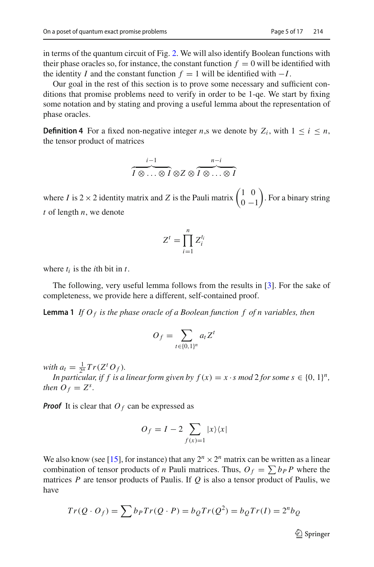in terms of the quantum circuit of Fig. [2.](#page-3-1) We will also identify Boolean functions with their phase oracles so, for instance, the constant function  $f = 0$  will be identified with the identity *I* and the constant function  $f = 1$  will be identified with  $-I$ .

Our goal in the rest of this section is to prove some necessary and sufficient conditions that promise problems need to verify in order to be 1-qe. We start by fixing some notation and by stating and proving a useful lemma about the representation of phase oracles.

**Definition 4** For a fixed non-negative integer *n*,s we denote by  $Z_i$ , with  $1 \leq i \leq n$ , the tensor product of matrices

$$
\overbrace{I\otimes\ldots\otimes I}^{i-1}\otimes Z\otimes\overbrace{I\otimes\ldots\otimes I}^{n-i}
$$

where *I* is 2 × 2 identity matrix and *Z* is the Pauli matrix  $\begin{pmatrix} 1 & 0 \\ 0 & -1 \end{pmatrix}$  $0 -1$  . For a binary string *t* of length *n*, we denote

<span id="page-4-0"></span>
$$
Z^t = \prod_{i=1}^n Z_i^{t_i}
$$

where  $t_i$  is the *i*th bit in  $t$ .

The following, very useful lemma follows from the results in [\[3](#page-15-9)]. For the sake of completeness, we provide here a different, self-contained proof.

**Lemma 1** *If*  $O_f$  *is the phase oracle of a Boolean function f of n variables, then* 

$$
O_f = \sum_{t \in \{0,1\}^n} a_t Z^t
$$

*with*  $a_t = \frac{1}{2^n} Tr(Z^t O_f)$ *.* 

*In particular, if f is a linear form given by*  $f(x) = x \cdot s \mod 2$  *for some*  $s \in \{0, 1\}^n$ *, then*  $O_f = Z^s$ .

*Proof* It is clear that  $O_f$  can be expressed as

$$
O_f = I - 2 \sum_{f(x)=1} |x\rangle\langle x|
$$

We also know (see [\[15](#page-16-7)], for instance) that any  $2^n \times 2^n$  matrix can be written as a linear combination of tensor products of *n* Pauli matrices. Thus,  $O_f = \sum b_P P$  where the matrices *P* are tensor products of Paulis. If *Q* is also a tensor product of Paulis, we have

$$
Tr(Q \cdot O_f) = \sum b_P Tr(Q \cdot P) = b_Q Tr(Q^2) = b_Q Tr(I) = 2^n b_Q
$$

 $\mathcal{D}$  Springer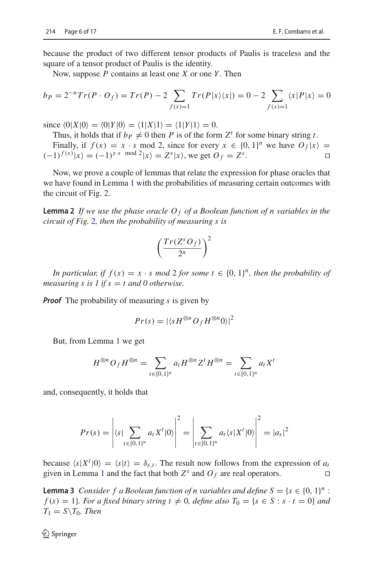because the product of two different tensor products of Paulis is traceless and the square of a tensor product of Paulis is the identity.

Now, suppose *P* contains at least one *X* or one *Y* . Then

$$
b_P = 2^{-n} Tr(P \cdot O_f) = Tr(P) - 2 \sum_{f(x)=1} Tr(P|x\rangle\langle x|) = 0 - 2 \sum_{f(x)=1} \langle x|P|x\rangle = 0
$$

since  $\langle 0|X|0 \rangle = \langle 0|Y|0 \rangle = \langle 1|X|1 \rangle = \langle 1|Y|1 \rangle = 0.$ 

Thus, it holds that if  $b_P \neq 0$  then *P* is of the form  $Z^t$  for some binary string *t*.

Finally, if  $f(x) = x \cdot s \mod 2$ , since for every  $x \in \{0, 1\}^n$  we have  $O_f(x) =$ <br> $f(x)|_x = (-1)^{x \cdot s} \mod 2|_x = 7^s |x|$  we get  $O_f(x) = 7^s$  $(-1)^{f(x)} |x\rangle = (-1)^{x \cdot s} \mod 2 |x\rangle = Z^s |x\rangle$ , we get  $O_f = Z^s$ . □

Now, we prove a couple of lemmas that relate the expression for phase oracles that we have found in Lemma [1](#page-4-0) with the probabilities of measuring certain outcomes with the circuit of Fig. [2.](#page-3-1)

<span id="page-5-0"></span>**Lemma 2** *If we use the phase oracle O <sup>f</sup> of a Boolean function of n variables in the circuit of Fig.* [2](#page-3-1)*, then the probability of measuring s is*

$$
\left(\frac{Tr(Z^sO_f)}{2^n}\right)^2
$$

*In particular, if*  $f(x) = x \cdot s \mod 2$  *for some*  $t \in \{0, 1\}^n$ *, then the probability of measuring s is 1 if s*  $=$  *t and 0 otherwise.* 

*Proof* The probability of measuring *s* is given by

$$
Pr(s) = |\langle s H^{\otimes n} O_f H^{\otimes n} 0 \rangle|^2
$$

But, from Lemma [1](#page-4-0) we get

$$
H^{\otimes n}O_f H^{\otimes n} = \sum_{t \in \{0,1\}^n} a_t H^{\otimes n} Z^t H^{\otimes n} = \sum_{t \in \{0,1\}^n} a_t X^t
$$

and, consequently, it holds that

$$
Pr(s) = \left| \langle s | \sum_{t \in \{0,1\}^n} a_t X^t | 0 \rangle \right|^2 = \left| \sum_{t \in \{0,1\}^n} a_t \langle s | X^t | 0 \rangle \right|^2 = |a_s|^2
$$

because  $\langle s|X^t|0\rangle = \langle s|t\rangle = \delta_{s,t}$ . The result now follows from the expression of *a<sub>t</sub>* given in Lemma [1](#page-4-0) and the fact that both  $Z^s$  and  $O_f$  are real operators.

<span id="page-5-1"></span>**Lemma 3** *Consider f a Boolean function of n variables and define*  $S = \{s \in \{0, 1\}^n :$  $f(s) = 1$ *}. For a fixed binary string t*  $\neq 0$ *, define also*  $T_0 = \{s \in S : s \cdot t = 0\}$  *and*  $T_1 = S \setminus T_0$ *. Then*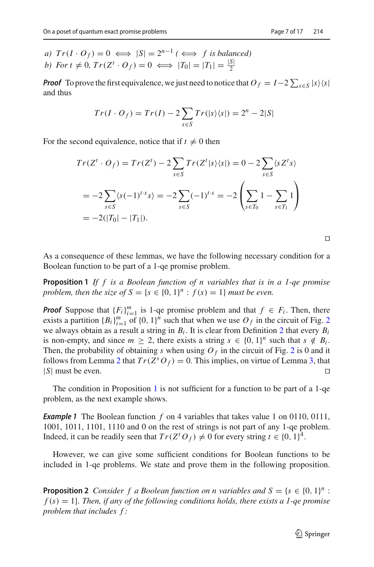*Proof* To prove the first equivalence, we just need to notice that  $O_f = I - 2 \sum_{s \in S} |s\rangle\langle s|$ and thus

$$
Tr(I \cdot O_f) = Tr(I) - 2 \sum_{s \in S} Tr(|s\rangle\langle s|) = 2^n - 2|S|
$$

For the second equivalence, notice that if  $t \neq 0$  then

$$
Tr(Zt \cdot O_f) = Tr(Zt) - 2 \sum_{s \in S} Tr(Zt|s\rangle\langle s|) = 0 - 2 \sum_{s \in S} \langle s Zt s \rangle
$$
  
= -2  $\sum_{s \in S} \langle s(-1)^{t \cdot s} s \rangle = -2 \sum_{s \in S} (-1)^{t \cdot s} = -2 \left( \sum_{s \in T_0} 1 - \sum_{s \in T_1} 1 \right)$   
= -2(|T\_0| - |T\_1|).

<span id="page-6-0"></span> $\Box$ 

As a consequence of these lemmas, we have the following necessary condition for a Boolean function to be part of a 1-qe promise problem.

**Proposition 1** *If f is a Boolean function of n variables that is in a 1-qe promise problem, then the size of*  $S = \{s \in \{0, 1\}^n : f(s) = 1\}$  *must be even.* 

*Proof* Suppose that  ${F_i}_{i=1}^m$  is 1-qe promise problem and that  $f \in F_i$ . Then, there exists a partition  ${B_i}_{i=1}^m$  of  ${0, 1}^n$  such that when we use  $O_f$  in the circuit of Fig. [2](#page-3-1) we always obtain as a result a string in  $B_i$ . It is clear from Definition [2](#page-2-2) that every  $B_i$ is non-empty, and since  $m \geq 2$ , there exists a string  $s \in \{0, 1\}^n$  such that  $s \notin B_i$ . Then, the probability of obtaining *s* when using  $O_f$  in the circuit of Fig. [2](#page-3-1) is 0 and it follows from Lemma [2](#page-5-0) that  $Tr(Z^sO_f) = 0$ . This implies, on virtue of Lemma [3,](#page-5-1) that |*S*| must be even.

<span id="page-6-2"></span>The condition in Proposition [1](#page-6-0) is not sufficient for a function to be part of a 1-qe problem, as the next example shows.

*Example 1* The Boolean function *f* on 4 variables that takes value 1 on 0110, 0111, 1001, 1011, 1101, 1110 and 0 on the rest of strings is not part of any 1-qe problem. Indeed, it can be readily seen that  $Tr(Z^t O_f) \neq 0$  for every string  $t \in \{0, 1\}^4$ .

<span id="page-6-1"></span>However, we can give some sufficient conditions for Boolean functions to be included in 1-qe problems. We state and prove them in the following proposition.

**Proposition 2** *Consider f a Boolean function on n variables and*  $S = \{s \in \{0, 1\}^n :$ *f* (*s*) = 1}*. Then, if any of the following conditions holds, there exists a 1-qe promise problem that includes f :*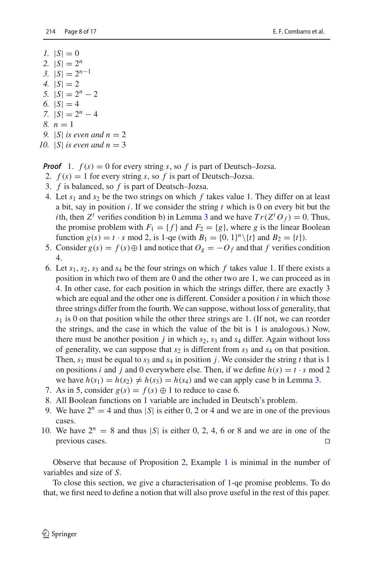- *1.*  $|S| = 0$ 2.  $|S| = 2^n$ *3.*  $|S| = 2^{n-1}$ *4.*  $|S| = 2$ *5.*  $|S| = 2^n - 2$ 6.  $|S| = 4$ *7.*  $|S| = 2^n - 4$ *8. n* = 1 *9.*  $|S|$  *is even and n* = 2
- 10.  $|S|$  *is even and n* = 3

*Proof* 1.  $f(s) = 0$  for every string *s*, so *f* is part of Deutsch–Jozsa.

- 2.  $f(s) = 1$  for every string *s*, so *f* is part of Deutsch–Jozsa.
- 3. *f* is balanced, so *f* is part of Deutsch–Jozsa.
- 4. Let  $s_1$  and  $s_2$  be the two strings on which  $f$  takes value 1. They differ on at least a bit, say in position *i*. If we consider the string *t* which is 0 on every bit but the *i*th, then *Z*<sup>*t*</sup> verifies condition b) in Lemma [3](#page-5-1) and we have  $Tr(Z^T O_f) = 0$ . Thus, the promise problem with  $F_1 = \{f\}$  and  $F_2 = \{g\}$ , where *g* is the linear Boolean function  $g(s) = t \cdot s \mod 2$ , is 1-qe (with  $B_1 = \{0, 1\}^n \setminus \{t\}$  and  $B_2 = \{t\}$ ).
- 5. Consider  $g(s) = f(s) \oplus 1$  and notice that  $O_g = -O_f$  and that  $f$  verifies condition 4.
- 6. Let  $s_1$ ,  $s_2$ ,  $s_3$  and  $s_4$  be the four strings on which f takes value 1. If there exists a position in which two of them are 0 and the other two are 1, we can proceed as in 4. In other case, for each position in which the strings differ, there are exactly 3 which are equal and the other one is different. Consider a position *i* in which those three strings differ from the fourth. We can suppose, without loss of generality, that *s*<sup>1</sup> is 0 on that position while the other three strings are 1. (If not, we can reorder the strings, and the case in which the value of the bit is 1 is analogous.) Now, there must be another position *j* in which  $s_2$ ,  $s_3$  and  $s_4$  differ. Again without loss of generality, we can suppose that  $s_2$  is different from  $s_3$  and  $s_4$  on that position. Then,  $s_1$  must be equal to  $s_3$  and  $s_4$  in position *j*. We consider the string *t* that is 1 on positions *i* and *j* and 0 everywhere else. Then, if we define  $h(s) = t \cdot s \mod 2$ we have  $h(s_1) = h(s_2) \neq h(s_3) = h(s_4)$  and we can apply case b in Lemma [3.](#page-5-1)
- 7. As in 5, consider  $g(s) = f(s) \oplus 1$  to reduce to case 6.
- 8. All Boolean functions on 1 variable are included in Deutsch's problem.
- 9. We have  $2^n = 4$  and thus |S| is either 0, 2 or 4 and we are in one of the previous cases.
- 10. We have  $2^n = 8$  and thus  $|S|$  is either 0, 2, 4, 6 or 8 and we are in one of the previous cases.

Observe that because of Proposition [2,](#page-6-1) Example [1](#page-6-2) is minimal in the number of variables and size of *S*.

To close this section, we give a characterisation of 1-qe promise problems. To do that, we first need to define a notion that will also prove useful in the rest of this paper.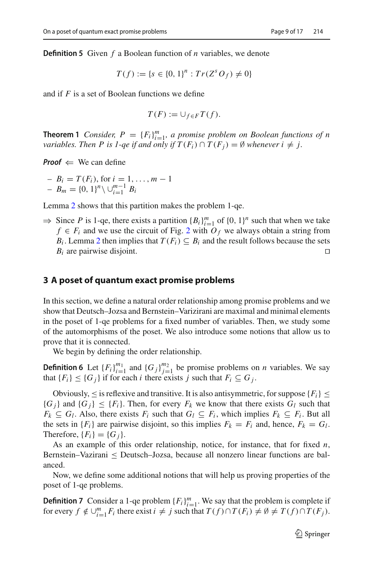**Definition 5** Given *f* a Boolean function of *n* variables, we denote

$$
T(f) := \{ s \in \{0, 1\}^n : Tr(Z^s O_f) \neq 0 \}
$$

and if *F* is a set of Boolean functions we define

$$
T(F) := \cup_{f \in F} T(f).
$$

**Theorem 1** *Consider,*  $P = \{F_i\}_{i=1}^m$ , a promise problem on Boolean functions of n *variables. Then P is 1-qe if and only if*  $T(F_i) \cap T(F_j) = \emptyset$  *whenever i*  $\neq j$ *.* 

*Proof*  $\Leftarrow$  We can define

 $B_i = T(F_i)$ , for  $i = 1, ..., m - 1$  $- B_m = \{0, 1\}^n \setminus \bigcup_{i=1}^{m-1} B_i$ 

Lemma [2](#page-5-0) shows that this partition makes the problem 1-qe.

⇒ Since *P* is 1-qe, there exists a partition  ${B_i}_{i=1}^m$  of  ${0, 1}^n$  such that when we take *f* ∈ *F<sub>i</sub>* and we use the circuit of Fig. [2](#page-3-1) with  $O_f$  we always obtain a string from *B<sub>i</sub>*. Lemma [2](#page-5-0) then implies that  $T(F_i) \subseteq B_i$  and the result follows because the sets  $B_i$  are pairwise disjoint.

#### <span id="page-8-0"></span>**3 A poset of quantum exact promise problems**

In this section, we define a natural order relationship among promise problems and we show that Deutsch–Jozsa and Bernstein–Varizirani are maximal and minimal elements in the poset of 1-qe problems for a fixed number of variables. Then, we study some of the automorphisms of the poset. We also introduce some notions that allow us to prove that it is connected.

We begin by defining the order relationship.

**Definition 6** Let  ${F_i}_{i=1}^{m_1}$  and  ${G_j}_{j=1}^{m_2}$  be promise problems on *n* variables. We say that  ${F_i} \leq {G_j}$  if for each *i* there exists *j* such that  $F_i \subseteq G_j$ .

Obviously,  $\leq$  is reflexive and transitive. It is also antisymmetric, for suppose  ${F_i} \leq$  ${G_i}$  and  ${G_i} \le {F_i}$ . Then, for every  $F_k$  we know that there exists  $G_l$  such that  $F_k \subseteq G_l$ . Also, there exists  $F_i$  such that  $G_l \subseteq F_i$ , which implies  $F_k \subseteq F_i$ . But all the sets in  ${F_i}$  are pairwise disjoint, so this implies  $F_k = F_i$  and, hence,  $F_k = G_l$ . Therefore,  ${F_i} = {G_i}$ .

As an example of this order relationship, notice, for instance, that for fixed *n*, Bernstein–Vazirani ≤ Deutsch–Jozsa, because all nonzero linear functions are balanced.

Now, we define some additional notions that will help us proving properties of the poset of 1-qe problems.

**Definition 7** Consider a 1-qe problem  ${F_i}_{i=1}^m$ . We say that the problem is complete if for every  $f \notin \bigcup_{i=1}^{m} F_i$  there exist  $i \neq j$  such that  $T(f) \cap T(F_i) \neq \emptyset \neq T(f) \cap T(F_j)$ .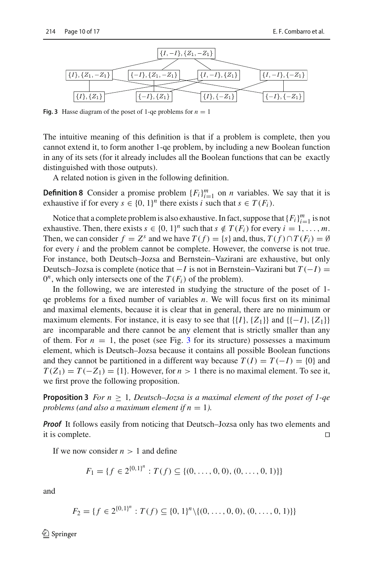

<span id="page-9-0"></span>**Fig. 3** Hasse diagram of the poset of 1-qe problems for  $n = 1$ 

The intuitive meaning of this definition is that if a problem is complete, then you cannot extend it, to form another 1-qe problem, by including a new Boolean function in any of its sets (for it already includes all the Boolean functions that can be exactly distinguished with those outputs).

A related notion is given in the following definition.

**Definition 8** Consider a promise problem  ${F_i}_{i=1}^m$  on *n* variables. We say that it is exhaustive if for every  $s \in \{0, 1\}^n$  there exists *i* such that  $s \in T(F_i)$ .

Notice that a complete problem is also exhaustive. In fact, suppose that  ${F_i}_{i=1}^m$  is not exhaustive. Then, there exists  $s \in \{0, 1\}^n$  such that  $s \notin T(F_i)$  for every  $i = 1, \ldots, m$ . Then, we can consider  $f = Z^s$  and we have  $T(f) = \{s\}$  and, thus,  $T(f) \cap T(F_i) = \emptyset$ for every *i* and the problem cannot be complete. However, the converse is not true. For instance, both Deutsch–Jozsa and Bernstein–Vazirani are exhaustive, but only Deutsch–Jozsa is complete (notice that  $-I$  is not in Bernstein–Vazirani but  $T(-I)$ ) =  $0^n$ , which only intersects one of the  $T(F_i)$  of the problem).

In the following, we are interested in studying the structure of the poset of 1 qe problems for a fixed number of variables *n*. We will focus first on its minimal and maximal elements, because it is clear that in general, there are no minimum or maximum elements. For instance, it is easy to see that  $\{\{I\},\{Z_1\}\}\$  and  $\{\{-I\},\{Z_1\}\}\$ are incomparable and there cannot be any element that is strictly smaller than any of them. For  $n = 1$ , the poset (see Fig. [3](#page-9-0) for its structure) possesses a maximum element, which is Deutsch–Jozsa because it contains all possible Boolean functions and they cannot be partitioned in a different way because  $T(I) = T(-I) = \{0\}$  and  $T(Z_1) = T(-Z_1) = \{1\}$ . However, for  $n > 1$  there is no maximal element. To see it, we first prove the following proposition.

**Proposition 3** *For n*  $\geq$  1*, Deutsch–Jozsa is a maximal element of the poset of 1-qe problems (and also a maximum element if*  $n = 1$ *).* 

*Proof* It follows easily from noticing that Deutsch–Jozsa only has two elements and it is complete.  $\Box$ 

If we now consider  $n > 1$  and define

$$
F_1 = \{ f \in 2^{\{0,1\}^n} : T(f) \subseteq \{ (0,\ldots,0,0), (0,\ldots,0,1) \} \}
$$

and

$$
F_2 = \{ f \in 2^{\{0,1\}^n} : T(f) \subseteq \{0,1\}^n \setminus \{(0,\ldots,0,0), (0,\ldots,0,1)\} \}
$$

 $\textcircled{2}$  Springer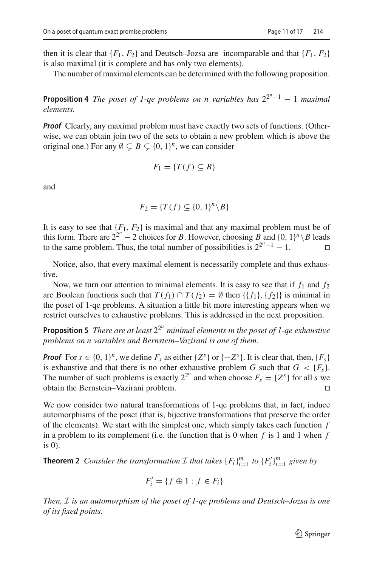then it is clear that  ${F_1, F_2}$  and Deutsch–Jozsa are incomparable and that  ${F_1, F_2}$ is also maximal (it is complete and has only two elements).

The number of maximal elements can be determined with the following proposition.

**Proposition 4** *The poset of 1-qe problems on n variables has*  $2^{2^n-1} - 1$  *maximal elements.*

*Proof* Clearly, any maximal problem must have exactly two sets of functions. (Otherwise, we can obtain join two of the sets to obtain a new problem which is above the original one.) For any  $\emptyset \subsetneq B \subsetneq \{0, 1\}^n$ , we can consider

$$
F_1 = \{ T(f) \subseteq B \}
$$

and

$$
F_2 = \{T(f) \subseteq \{0, 1\}^n \backslash B\}
$$

It is easy to see that  ${F_1, F_2}$  is maximal and that any maximal problem must be of this form. There are  $2^{2^n} - 2$  choices for *B*. However, choosing *B* and {0, 1}<sup>*n*</sup> \ *B* leads to the same problem. Thus, the total number of possibilities is  $2^{2^n-1}-1$ .

Notice, also, that every maximal element is necessarily complete and thus exhaustive.

Now, we turn our attention to minimal elements. It is easy to see that if  $f_1$  and  $f_2$ are Boolean functions such that  $T(f_1) \cap T(f_2) = \emptyset$  then  $\{\{f_1\}, \{f_2\}\}\$ is minimal in the poset of 1-qe problems. A situation a little bit more interesting appears when we restrict ourselves to exhaustive problems. This is addressed in the next proposition.

**Proposition 5** *There are at least*  $2^{2^n}$  *minimal elements in the poset of 1-qe exhaustive problems on n variables and Bernstein–Vazirani is one of them.*

*Proof* For  $s \in \{0, 1\}^n$ , we define  $F_s$  as either  $\{Z^s\}$  or  $\{-Z^s\}$ . It is clear that, then,  $\{F_s\}$ is exhaustive and that there is no other exhaustive problem *G* such that  $G < \{F_s\}$ . The number of such problems is exactly  $2^{2^n}$  and when choose  $F_s = \{Z^s\}$  for all *s* we obtain the Bernstein–Vazirani problem.

We now consider two natural transformations of 1-qe problems that, in fact, induce automorphisms of the poset (that is, bijective transformations that preserve the order of the elements). We start with the simplest one, which simply takes each function *f* in a problem to its complement (i.e. the function that is 0 when *f* is 1 and 1 when *f* is 0).

**Theorem 2** *Consider the transformation*  $\mathcal{I}$  *that takes*  $\{F_i\}_{i=1}^m$  *to*  $\{F'_i\}_{i=1}^m$  *given by* 

$$
F_i' = \{ f \oplus 1 : f \in F_i \}
$$

*Then, I is an automorphism of the poset of 1-qe problems and Deutsch–Jozsa is one of its fixed points.*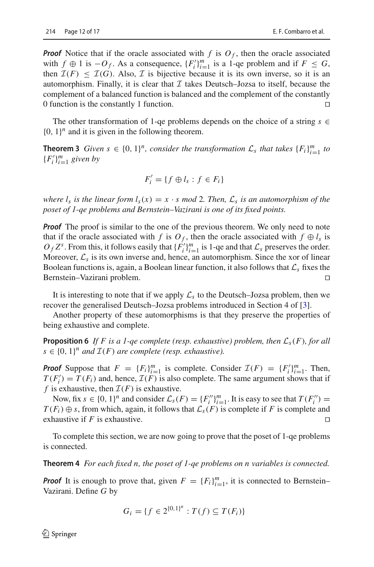*Proof* Notice that if the oracle associated with  $f$  is  $O_f$ , then the oracle associated with  $f \oplus 1$  is  $-O_f$ . As a consequence,  $\{F_i'\}_{i=1}^m$  is a 1-qe problem and if  $F \leq G$ , then  $\mathcal{I}(F) \leq \mathcal{I}(G)$ . Also, *I* is bijective because it is its own inverse, so it is an automorphism. Finally, it is clear that  $I$  takes Deutsch-Jozsa to itself, because the complement of a balanced function is balanced and the complement of the constantly 0 function is the constantly 1 function.

The other transformation of 1-qe problems depends on the choice of a string  $s \in$  ${0, 1}<sup>n</sup>$  and it is given in the following theorem.

**Theorem 3** *Given*  $s \in \{0, 1\}^n$ , *consider the transformation*  $\mathcal{L}_s$  *that takes*  $\{F_i\}_{i=1}^m$  *to*  ${F'_i}_{i=1}^m$  *given by* 

$$
F_i' = \{ f \oplus l_s : f \in F_i \}
$$

*where*  $l_s$  *is the linear form*  $l_s(x) = x \cdot s \mod 2$ *. Then,*  $\mathcal{L}_s$  *is an automorphism of the poset of 1-qe problems and Bernstein–Vazirani is one of its fixed points.*

*Proof* The proof is similar to the one of the previous theorem. We only need to note that if the oracle associated with *f* is  $O_f$ , then the oracle associated with  $f \oplus l_s$  is  $O_f Z^s$ . From this, it follows easily that  ${F'_i}_{i=1}^m$  is 1-qe and that  $\mathcal{L}_s$  preserves the order. Moreover,  $\mathcal{L}_s$  is its own inverse and, hence, an automorphism. Since the xor of linear Boolean functions is, again, a Boolean linear function, it also follows that *L<sup>s</sup>* fixes the Bernstein–Vazirani problem.

It is interesting to note that if we apply  $\mathcal{L}_s$  to the Deutsch–Jozsa problem, then we recover the generalised Deutsch–Jozsa problems introduced in Section 4 of [\[3\]](#page-15-9).

Another property of these automorphisms is that they preserve the properties of being exhaustive and complete.

**Proposition 6** If F is a 1-qe complete (resp. exhaustive) problem, then  $\mathcal{L}_s(F)$ , for all  $s \in \{0, 1\}^n$  *and*  $\mathcal{I}(F)$  *are complete (resp. exhaustive).* 

*Proof* Suppose that  $F = \{F_i\}_{i=1}^m$  is complete. Consider  $\mathcal{I}(F) = \{F_i'\}_{i=1}^m$ . Then,  $\mathcal{I}(F) = \mathcal{I}(F)$  $T(F_i') = T(F_i)$  and, hence,  $\mathcal{I}(F)$  is also complete. The same argument shows that if *f* is exhaustive, then  $\mathcal{I}(F)$  is exhaustive.

Now, fix  $s \in \{0, 1\}^n$  and consider  $\mathcal{L}_s(F) = \{F_i^{\prime\prime}\}_{i=1}^m$ . It is easy to see that  $T(F_i^{\prime\prime}) = F_i$ *T*(*F<sub>i</sub>*) ⊕ *s*, from which, again, it follows that  $\mathcal{L}_s(F)$  is complete if *F* is complete and exhaustive if *F* is exhaustive exhaustive if *F* is exhaustive.

To complete this section, we are now going to prove that the poset of 1-qe problems is connected.

**Theorem 4** *For each fixed n, the poset of 1-qe problems on n variables is connected.*

**Proof** It is enough to prove that, given  $F = \{F_i\}_{i=1}^m$ , it is connected to Bernstein– Vazirani. Define *G* by

$$
G_i = \{ f \in 2^{\{0,1\}^n} : T(f) \subseteq T(F_i) \}
$$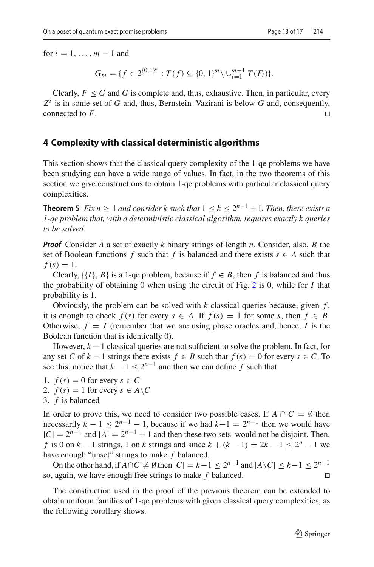for  $i = 1, \ldots, m - 1$  and

 $G_m = \{ f \in 2^{\{0,1\}^n} : T(f) \subseteq \{0,1\}^m \setminus \cup_{i=1}^{m-1} T(F_i) \}.$ 

Clearly,  $F \leq G$  and G is complete and, thus, exhaustive. Then, in particular, every  $Z^i$  is in some set of *G* and, thus, Bernstein–Vazirani is below *G* and, consequently, connected to *F*.

#### <span id="page-12-0"></span>**4 Complexity with classical deterministic algorithms**

<span id="page-12-1"></span>This section shows that the classical query complexity of the 1-qe problems we have been studying can have a wide range of values. In fact, in the two theorems of this section we give constructions to obtain 1-qe problems with particular classical query complexities.

**Theorem 5** *Fix n* ≥ 1 *and consider k such that*  $1 ≤ k ≤ 2<sup>n-1</sup> + 1$ *. Then, there exists a 1-qe problem that, with a deterministic classical algorithm, requires exactly k queries to be solved.*

*Proof* Consider *A* a set of exactly *k* binary strings of length *n*. Consider, also, *B* the set of Boolean functions *f* such that *f* is balanced and there exists  $s \in A$  such that  $f(s) = 1$ .

Clearly,  $\{\{I\}, B\}$  is a 1-qe problem, because if  $f \in B$ , then f is balanced and thus the probability of obtaining 0 when using the circuit of Fig. [2](#page-3-1) is 0, while for *I* that probability is 1.

Obviously, the problem can be solved with  $k$  classical queries because, given  $f$ , it is enough to check  $f(s)$  for every  $s \in A$ . If  $f(s) = 1$  for some *s*, then  $f \in B$ . Otherwise,  $f = I$  (remember that we are using phase oracles and, hence, *I* is the Boolean function that is identically 0).

However,  $k - 1$  classical queries are not sufficient to solve the problem. In fact, for any set *C* of  $k - 1$  strings there exists  $f \in B$  such that  $f(s) = 0$  for every  $s \in C$ . To see this, notice that  $k - 1 < 2^{n-1}$  and then we can define *f* such that

- 1.  $f(s) = 0$  for every  $s \in C$
- 2.  $f(s) = 1$  for every  $s \in A \backslash C$
- 3. *f* is balanced

In order to prove this, we need to consider two possible cases. If  $A \cap C = \emptyset$  then necessarily  $k - 1 \leq 2^{n-1} - 1$ , because if we had  $k - 1 = 2^{n-1}$  then we would have  $|C| = 2^{n-1}$  and  $|A| = 2^{n-1} + 1$  and then these two sets would not be disjoint. Then, *f* is 0 on  $k - 1$  strings, 1 on  $k$  strings and since  $k + (k - 1) = 2k - 1 \le 2^n - 1$  we have enough "unset" strings to make *f* balanced.

On the other hand, if  $A \cap C \neq \emptyset$  then  $|C| = k - 1 \leq 2^{n-1}$  and  $|A \setminus C| \leq k - 1 \leq 2^{n-1}$ so, again, we have enough free strings to make *f* balanced.

The construction used in the proof of the previous theorem can be extended to obtain uniform families of 1-qe problems with given classical query complexities, as the following corollary shows.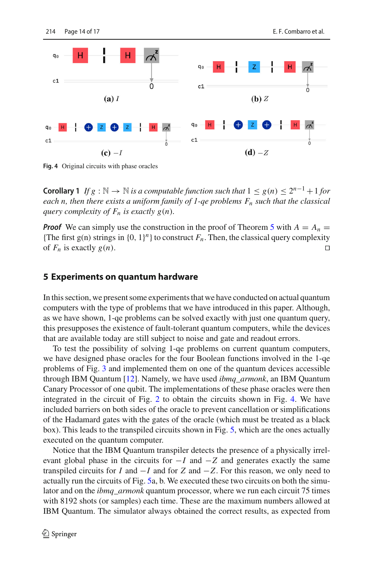

<span id="page-13-1"></span>**Fig. 4** Original circuits with phase oracles

**Corollary 1** *If g* :  $\mathbb{N} \to \mathbb{N}$  *is a computable function such that*  $1 \leq g(n) \leq 2^{n-1} + 1$  *for each n, then there exists a uniform family of 1-qe problems Fn such that the classical guery complexity of*  $F_n$  *is exactly g(n)*.

*Proof* We can simply use the construction in the proof of Theorem [5](#page-12-1) with  $A = A_n$ {The first g(n) strings in  $\{0, 1\}^n$ } to construct  $F_n$ . Then, the classical query complexity of  $F_n$  is exactly  $g(n)$ .

#### <span id="page-13-0"></span>**5 Experiments on quantum hardware**

In this section, we present some experiments that we have conducted on actual quantum computers with the type of problems that we have introduced in this paper. Although, as we have shown, 1-qe problems can be solved exactly with just one quantum query, this presupposes the existence of fault-tolerant quantum computers, while the devices that are available today are still subject to noise and gate and readout errors.

To test the possibility of solving 1-qe problems on current quantum computers, we have designed phase oracles for the four Boolean functions involved in the 1-qe problems of Fig. [3](#page-9-0) and implemented them on one of the quantum devices accessible through IBM Quantum [\[12](#page-15-10)]. Namely, we have used *ibmq\_armonk*, an IBM Quantum Canary Processor of one qubit. The implementations of these phase oracles were then integrated in the circuit of Fig. [2](#page-3-1) to obtain the circuits shown in Fig. [4.](#page-13-1) We have included barriers on both sides of the oracle to prevent cancellation or simplifications of the Hadamard gates with the gates of the oracle (which must be treated as a black box). This leads to the transpiled circuits shown in Fig. [5,](#page-14-1) which are the ones actually executed on the quantum computer.

Notice that the IBM Quantum transpiler detects the presence of a physically irrelevant global phase in the circuits for  $-I$  and  $-Z$  and generates exactly the same transpiled circuits for *I* and  $-I$  and for *Z* and  $-Z$ . For this reason, we only need to actually run the circuits of Fig. [5a](#page-14-1), b. We executed these two circuits on both the simulator and on the *ibmq\_armonk* quantum processor, where we run each circuit 75 times with 8192 shots (or samples) each time. These are the maximum numbers allowed at IBM Quantum. The simulator always obtained the correct results, as expected from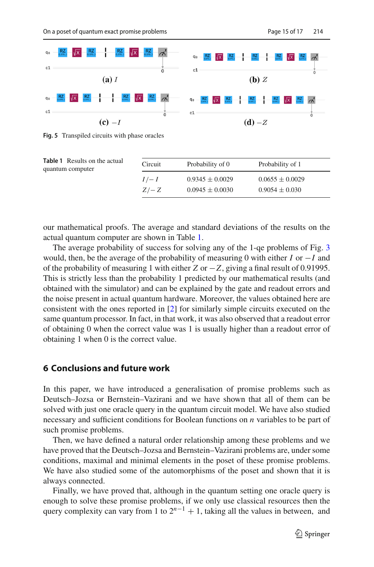

<span id="page-14-1"></span>**Fig. 5** Transpiled circuits with phase oracles

<span id="page-14-2"></span>

| <b>Table 1</b> Results on the actual<br>quantum computer | Circuit           | Probability of 0                           | Probability of 1                          |  |
|----------------------------------------------------------|-------------------|--------------------------------------------|-------------------------------------------|--|
|                                                          | $I/- I$<br>$Z/-Z$ | $0.9345 \pm 0.0029$<br>$0.0945 \pm 0.0030$ | $0.0655 \pm 0.0029$<br>$0.9054 \pm 0.030$ |  |

our mathematical proofs. The average and standard deviations of the results on the actual quantum computer are shown in Table [1.](#page-14-2)

The average probability of success for solving any of the 1-qe problems of Fig. [3](#page-9-0) would, then, be the average of the probability of measuring 0 with either *I* or −*I* and of the probability of measuring 1 with either *Z* or −*Z*, giving a final result of 0.91995. This is strictly less than the probability 1 predicted by our mathematical results (and obtained with the simulator) and can be explained by the gate and readout errors and the noise present in actual quantum hardware. Moreover, the values obtained here are consistent with the ones reported in [\[2\]](#page-15-11) for similarly simple circuits executed on the same quantum processor. In fact, in that work, it was also observed that a readout error of obtaining 0 when the correct value was 1 is usually higher than a readout error of obtaining 1 when 0 is the correct value.

### <span id="page-14-0"></span>**6 Conclusions and future work**

In this paper, we have introduced a generalisation of promise problems such as Deutsch–Jozsa or Bernstein–Vazirani and we have shown that all of them can be solved with just one oracle query in the quantum circuit model. We have also studied necessary and sufficient conditions for Boolean functions on *n* variables to be part of such promise problems.

Then, we have defined a natural order relationship among these problems and we have proved that the Deutsch–Jozsa and Bernstein–Vazirani problems are, under some conditions, maximal and minimal elements in the poset of these promise problems. We have also studied some of the automorphisms of the poset and shown that it is always connected.

Finally, we have proved that, although in the quantum setting one oracle query is enough to solve these promise problems, if we only use classical resources then the query complexity can vary from 1 to  $2^{n-1} + 1$ , taking all the values in between, and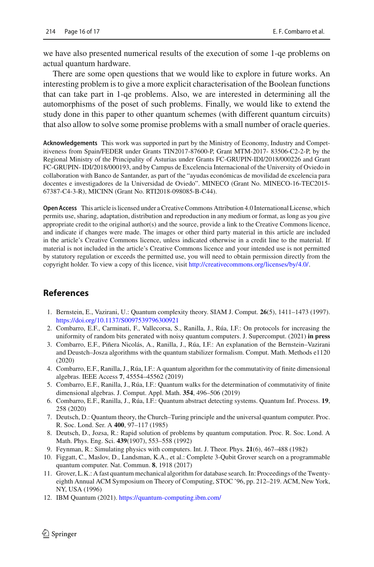we have also presented numerical results of the execution of some 1-qe problems on actual quantum hardware.

There are some open questions that we would like to explore in future works. An interesting problem is to give a more explicit characterisation of the Boolean functions that can take part in 1-qe problems. Also, we are interested in determining all the automorphisms of the poset of such problems. Finally, we would like to extend the study done in this paper to other quantum schemes (with different quantum circuits) that also allow to solve some promise problems with a small number of oracle queries.

**Acknowledgements** This work was supported in part by the Ministry of Economy, Industry and Competitiveness from Spain/FEDER under Grants TIN2017-87600-P, Grant MTM-2017- 83506-C2-2-P, by the Regional Ministry of the Principality of Asturias under Grants FC-GRUPIN-IDI/2018/000226 and Grant FC-GRUPIN- IDI/2018/000193, and by Campus de Excelencia Internacional of the University of Oviedo in collaboration with Banco de Santander, as part of the "ayudas económicas de movilidad de excelencia para docentes e investigadores de la Universidad de Oviedo". MINECO (Grant No. MINECO-16-TEC2015- 67387-C4-3-R), MICINN (Grant No. RTI2018-098085-B-C44).

**Open Access** This article is licensed under a Creative Commons Attribution 4.0 International License, which permits use, sharing, adaptation, distribution and reproduction in any medium or format, as long as you give appropriate credit to the original author(s) and the source, provide a link to the Creative Commons licence, and indicate if changes were made. The images or other third party material in this article are included in the article's Creative Commons licence, unless indicated otherwise in a credit line to the material. If material is not included in the article's Creative Commons licence and your intended use is not permitted by statutory regulation or exceeds the permitted use, you will need to obtain permission directly from the copyright holder. To view a copy of this licence, visit [http://creativecommons.org/licenses/by/4.0/.](http://creativecommons.org/licenses/by/4.0/)

# **References**

- <span id="page-15-3"></span>1. Bernstein, E., Vazirani, U.: Quantum complexity theory. SIAM J. Comput. **26**(5), 1411–1473 (1997). <https://doi.org/10.1137/S0097539796300921>
- <span id="page-15-11"></span>2. Combarro, E.F., Carminati, F., Vallecorsa, S., Ranilla, J., Rúa, I.F.: On protocols for increasing the uniformity of random bits generated with noisy quantum computers. J. Supercomput. (2021) **in press**
- <span id="page-15-9"></span>3. Combarro, E.F., Piñera Nicolás, A., Ranilla, J., Rúa, I.F.: An explanation of the Bernstein–Vazirani and Deustch–Josza algorithms with the quantum stabilizer formalism. Comput. Math. Methods e1120 (2020)
- <span id="page-15-6"></span>4. Combarro, E.F., Ranilla, J., Rúa, I.F.: A quantum algorithm for the commutativity of finite dimensional algebras. IEEE Access **7**, 45554–45562 (2019)
- <span id="page-15-7"></span>5. Combarro, E.F., Ranilla, J., Rúa, I.F.: Quantum walks for the determination of commutativity of finite dimensional algebras. J. Comput. Appl. Math. **354**, 496–506 (2019)
- <span id="page-15-5"></span>6. Combarro, E.F., Ranilla, J., Rúa, I.F.: Quantum abstract detecting systems. Quantum Inf. Process. **19**, 258 (2020)
- <span id="page-15-0"></span>7. Deutsch, D.: Quantum theory, the Church–Turing principle and the universal quantum computer. Proc. R. Soc. Lond. Ser. A **400**, 97–117 (1985)
- <span id="page-15-2"></span>8. Deutsch, D., Jozsa, R.: Rapid solution of problems by quantum computation. Proc. R. Soc. Lond. A Math. Phys. Eng. Sci. **439**(1907), 553–558 (1992)
- <span id="page-15-1"></span>9. Feynman, R.: Simulating physics with computers. Int. J. Theor. Phys. **21**(6), 467–488 (1982)
- <span id="page-15-8"></span>10. Figgatt, C., Maslov, D., Landsman, K.A., et al.: Complete 3-Qubit Grover search on a programmable quantum computer. Nat. Commun. **8**, 1918 (2017)
- <span id="page-15-4"></span>11. Grover, L.K.: A fast quantum mechanical algorithm for database search. In: Proceedings of the Twentyeighth Annual ACM Symposium on Theory of Computing, STOC '96, pp. 212–219. ACM, New York, NY, USA (1996)
- <span id="page-15-10"></span>12. IBM Quantum (2021). <https://quantum-computing.ibm.com/>